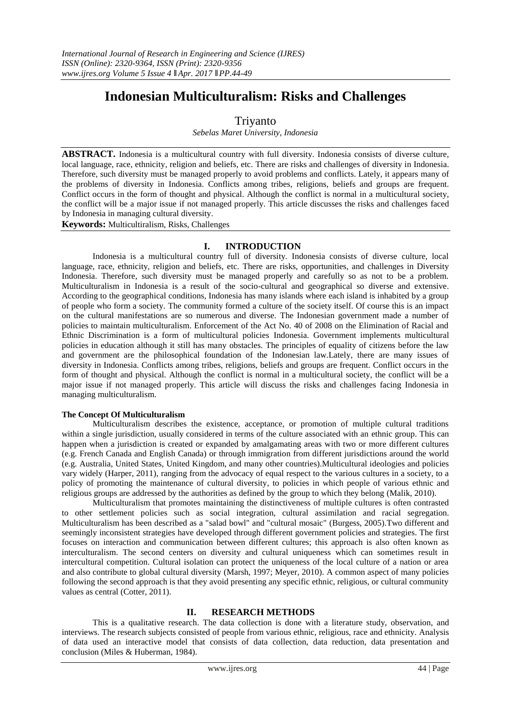# **Indonesian Multiculturalism: Risks and Challenges**

# Triyanto

*Sebelas Maret University, Indonesia*

**ABSTRACT.** Indonesia is a multicultural country with full diversity. Indonesia consists of diverse culture, local language, race, ethnicity, religion and beliefs, etc. There are risks and challenges of diversity in Indonesia. Therefore, such diversity must be managed properly to avoid problems and conflicts. Lately, it appears many of the problems of diversity in Indonesia. Conflicts among tribes, religions, beliefs and groups are frequent. Conflict occurs in the form of thought and physical. Although the conflict is normal in a multicultural society, the conflict will be a major issue if not managed properly. This article discusses the risks and challenges faced by Indonesia in managing cultural diversity.

**Keywords:** Multicultiralism, Risks, Challenges

# **I. INTRODUCTION**

Indonesia is a multicultural country full of diversity. Indonesia consists of diverse culture, local language, race, ethnicity, religion and beliefs, etc. There are risks, opportunities, and challenges in Diversity Indonesia. Therefore, such diversity must be managed properly and carefully so as not to be a problem. Multiculturalism in Indonesia is a result of the socio-cultural and geographical so diverse and extensive. According to the geographical conditions, Indonesia has many islands where each island is inhabited by a group of people who form a society. The community formed a culture of the society itself. Of course this is an impact on the cultural manifestations are so numerous and diverse. The Indonesian government made a number of policies to maintain multiculturalism. Enforcement of the Act No. 40 of 2008 on the Elimination of Racial and Ethnic Discrimination is a form of multicultural policies Indonesia. Government implements multicultural policies in education although it still has many obstacles. The principles of equality of citizens before the law and government are the philosophical foundation of the Indonesian law.Lately, there are many issues of diversity in Indonesia. Conflicts among tribes, religions, beliefs and groups are frequent. Conflict occurs in the form of thought and physical. Although the conflict is normal in a multicultural society, the conflict will be a major issue if not managed properly. This article will discuss the risks and challenges facing Indonesia in managing multiculturalism.

## **The Concept Of Multiculturalism**

Multiculturalism describes the existence, acceptance, or promotion of multiple cultural traditions within a single jurisdiction, usually considered in terms of the culture associated with an [ethnic group.](https://en.wikipedia.org/wiki/Ethnic_group) This can happen when a jurisdiction is created or expanded by amalgamating areas with two or more different cultures (e.g. [French Canada](https://en.wikipedia.org/wiki/French_Canada) and [English Canada\)](https://en.wikipedia.org/wiki/English_Canada) or through immigration from different jurisdictions around the world (e.g. [Australia,](https://en.wikipedia.org/wiki/Australia) [United States,](https://en.wikipedia.org/wiki/United_States) [United Kingdom,](https://en.wikipedia.org/wiki/United_Kingdom) and many other countries).Multicultural ideologies and policies vary widely (Harper, 2011), ranging from the advocacy of equal respect to the various cultures in a society, to a policy of promoting the maintenance of [cultural diversity,](https://en.wikipedia.org/wiki/Cultural_diversity) to policies in which people of various [ethnic](https://en.wikipedia.org/wiki/Ethnic) and [religious](https://en.wikipedia.org/wiki/Religion) groups are addressed by the authorities as defined by the group to which they belong (Malik, 2010).

Multiculturalism that promotes maintaining the distinctiveness of multiple cultures is often contrasted to other settlement policies such as [social integration,](https://en.wikipedia.org/wiki/Social_integration) [cultural assimilation](https://en.wikipedia.org/wiki/Cultural_assimilation) and [racial segregation.](https://en.wikipedia.org/wiki/Racial_segregation) Multiculturalism has been described as a ["salad bowl"](https://en.wikipedia.org/wiki/Salad_bowl_%28cultural_idea%29) and ["cultural mosaic"](https://en.wikipedia.org/wiki/Cultural_mosaic) (Burgess, 2005).Two different and seemingly inconsistent strategies have developed through different government policies and strategies. The first focuses on interaction and communication between different cultures; this approach is also often known as [interculturalism.](https://en.wikipedia.org/wiki/Interculturalism) The second centers on diversity and cultural uniqueness which can sometimes result in intercultural competition. Cultural isolation can protect the uniqueness of the local culture of a nation or area and also contribute to global cultural diversity (Marsh, 1997; Meyer, 2010). A common aspect of many policies following the second approach is that they avoid presenting any specific ethnic, religious, or cultural community [values](https://en.wikipedia.org/wiki/Value_%28personal_and_cultural%29) as central (Cotter, 2011).

# **II. RESEARCH METHODS**

This is a qualitative research. The data collection is done with a literature study, observation, and interviews. The research subjects consisted of people from various ethnic, religious, race and ethnicity. Analysis of data used an interactive model that consists of data collection, data reduction, data presentation and conclusion (Miles & Huberman, 1984).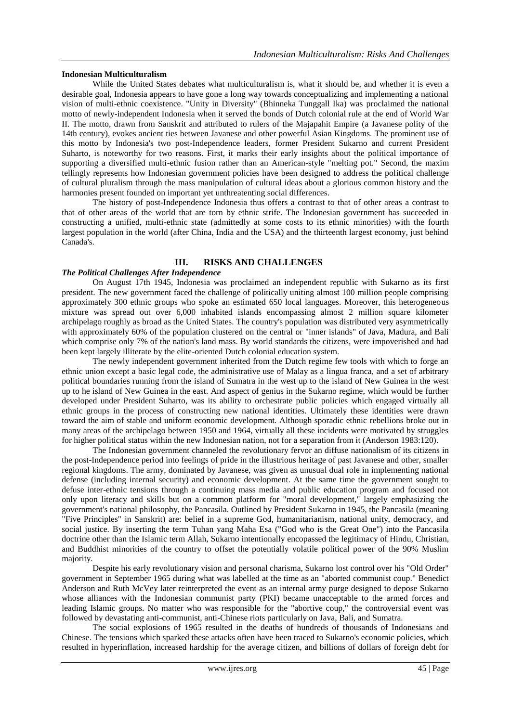## **Indonesian Multiculturalism**

While the United States debates what multiculturalism is, what it should be, and whether it is even a desirable goal, Indonesia appears to have gone a long way towards conceptualizing and implementing a national vision of multi-ethnic coexistence. "Unity in Diversity" (Bhinneka Tunggall Ika) was proclaimed the national motto of newly-independent Indonesia when it served the bonds of Dutch colonial rule at the end of World War II. The motto, drawn from Sanskrit and attributed to rulers of the Majapahit Empire (a Javanese polity of the 14th century), evokes ancient ties between Javanese and other powerful Asian Kingdoms. The prominent use of this motto by Indonesia's two post-Independence leaders, former President Sukarno and current President Suharto, is noteworthy for two reasons. First, it marks their early insights about the political importance of supporting a diversified multi-ethnic fusion rather than an American-style "melting pot." Second, the maxim tellingly represents how Indonesian government policies have been designed to address the political challenge of cultural pluralism through the mass manipulation of cultural ideas about a glorious common history and the harmonies present founded on important yet unthreatenting social differences.

The history of post-Independence Indonesia thus offers a contrast to that of other areas a contrast to that of other areas of the world that are torn by ethnic strife. The Indonesian government has succeeded in constructing a unified, multi-ethnic state (admittedly at some costs to its ethnic minorities) with the fourth largest population in the world (after China, India and the USA) and the thirteenth largest economy, just behind Canada's.

# **III. RISKS AND CHALLENGES**

## *The Political Challenges After Independence*

On August 17th 1945, Indonesia was proclaimed an independent republic with Sukarno as its first president. The new government faced the challenge of politically uniting almost 100 million people comprising approximately 300 ethnic groups who spoke an estimated 650 local languages. Moreover, this heterogeneous mixture was spread out over 6,000 inhabited islands encompassing almost 2 million square kilometer archipelago roughly as broad as the United States. The country's population was distributed very asymmetrically with approximately 60% of the population clustered on the central or "inner islands" of Java, Madura, and Bali which comprise only 7% of the nation's land mass. By world standards the citizens, were impoverished and had been kept largely illiterate by the elite-oriented Dutch colonial education system.

The newly independent government inherited from the Dutch regime few tools with which to forge an ethnic union except a basic legal code, the administrative use of Malay as a lingua franca, and a set of arbitrary political boundaries running from the island of Sumatra in the west up to the island of New Guinea in the west up to he island of New Guinea in the east. And aspect of genius in the Sukarno regime, which would be further developed under President Suharto, was its ability to orchestrate public policies which engaged virtually all ethnic groups in the process of constructing new national identities. Ultimately these identities were drawn toward the aim of stable and uniform economic development. Although sporadic ethnic rebellions broke out in many areas of the archipelago between 1950 and 1964, virtually all these incidents were motivated by struggles for higher political status within the new Indonesian nation, not for a separation from it (Anderson 1983:120).

The Indonesian government channeled the revolutionary fervor an diffuse nationalism of its citizens in the post-Independence period into feelings of pride in the illustrious heritage of past Javanese and other, smaller regional kingdoms. The army, dominated by Javanese, was given as unusual dual role in implementing national defense (including internal security) and economic development. At the same time the government sought to defuse inter-ethnic tensions through a continuing mass media and public education program and focused not only upon literacy and skills but on a common platform for "moral development," largely emphasizing the government's national philosophy, the Pancasila. Outlined by President Sukarno in 1945, the Pancasila (meaning "Five Principles" in Sanskrit) are: belief in a supreme God, humanitarianism, national unity, democracy, and social justice. By inserting the term Tuhan yang Maha Esa ("God who is the Great One") into the Pancasila doctrine other than the Islamic term Allah, Sukarno intentionally encopassed the legitimacy of Hindu, Christian, and Buddhist minorities of the country to offset the potentially volatile political power of the 90% Muslim majority.

Despite his early revolutionary vision and personal charisma, Sukarno lost control over his "Old Order" government in September 1965 during what was labelled at the time as an "aborted communist coup." Benedict Anderson and Ruth McVey later reinterpreted the event as an internal army purge designed to depose Sukarno whose alliances with the Indonesian communist party (PKI) became unacceptable to the armed forces and leading Islamic groups. No matter who was responsible for the "abortive coup," the controversial event was followed by devastating anti-communist, anti-Chinese riots particularly on Java, Bali, and Sumatra.

The social explosions of 1965 resulted in the deaths of hundreds of thousands of Indonesians and Chinese. The tensions which sparked these attacks often have been traced to Sukarno's economic policies, which resulted in hyperinflation, increased hardship for the average citizen, and billions of dollars of foreign debt for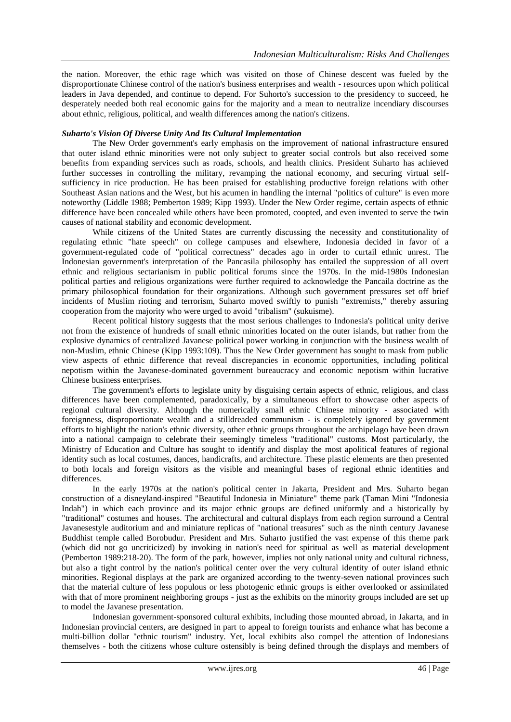the nation. Moreover, the ethic rage which was visited on those of Chinese descent was fueled by the disproportionate Chinese control of the nation's business enterprises and wealth - resources upon which political leaders in Java depended, and continue to depend. For Suhorto's succession to the presidency to succeed, he desperately needed both real economic gains for the majority and a mean to neutralize incendiary discourses about ethnic, religious, political, and wealth differences among the nation's citizens.

## *Suharto's Vision Of Diverse Unity And Its Cultural Implementation*

The New Order government's early emphasis on the improvement of national infrastructure ensured that outer island ethnic minorities were not only subject to greater social controls but also received some benefits from expanding services such as roads, schools, and health clinics. President Suharto has achieved further successes in controlling the military, revamping the national economy, and securing virtual selfsufficiency in rice production. He has been praised for establishing productive foreign relations with other Southeast Asian nations and the West, but his acumen in handling the internal "politics of culture" is even more noteworthy (Liddle 1988; Pemberton 1989; Kipp 1993). Under the New Order regime, certain aspects of ethnic difference have been concealed while others have been promoted, coopted, and even invented to serve the twin causes of national stability and economic development.

While citizens of the United States are currently discussing the necessity and constitutionality of regulating ethnic "hate speech" on college campuses and elsewhere, Indonesia decided in favor of a government-regulated code of "political correctness" decades ago in order to curtail ethnic unrest. The Indonesian government's interpretation of the Pancasila philosophy has entailed the suppression of all overt ethnic and religious sectarianism in public political forums since the 1970s. In the mid-1980s Indonesian political parties and religious organizations were further required to acknowledge the Pancaila doctrine as the primary philosophical foundation for their organizations. Although such government pressures set off brief incidents of Muslim rioting and terrorism, Suharto moved swiftly to punish "extremists," thereby assuring cooperation from the majority who were urged to avoid "tribalism" (sukuisme).

Recent political history suggests that the most serious challenges to Indonesia's political unity derive not from the existence of hundreds of small ethnic minorities located on the outer islands, but rather from the explosive dynamics of centralized Javanese political power working in conjunction with the business wealth of non-Muslim, ethnic Chinese (Kipp 1993:109). Thus the New Order government has sought to mask from public view aspects of ethnic difference that reveal discrepancies in economic opportunities, including political nepotism within the Javanese-dominated government bureaucracy and economic nepotism within lucrative Chinese business enterprises.

The government's efforts to legislate unity by disguising certain aspects of ethnic, religious, and class differences have been complemented, paradoxically, by a simultaneous effort to showcase other aspects of regional cultural diversity. Although the numerically small ethnic Chinese minority - associated with foreignness, disproportionate wealth and a stilldreaded communism - is completely ignored by government efforts to highlight the nation's ethnic diversity, other ethnic groups throughout the archipelago have been drawn into a national campaign to celebrate their seemingly timeless "traditional" customs. Most particularly, the Ministry of Education and Culture has sought to identify and display the most apolitical features of regional identity such as local costumes, dances, handicrafts, and architecture. These plastic elements are then presented to both locals and foreign visitors as the visible and meaningful bases of regional ethnic identities and differences.

In the early 1970s at the nation's political center in Jakarta, President and Mrs. Suharto began construction of a disneyland-inspired "Beautiful Indonesia in Miniature" theme park (Taman Mini "Indonesia Indah") in which each province and its major ethnic groups are defined uniformly and a historically by "traditional" costumes and houses. The architectural and cultural displays from each region surround a Central Javanesestyle auditorium and and miniature replicas of "national treasures" such as the ninth century Javanese Buddhist temple called Borobudur. President and Mrs. Suharto justified the vast expense of this theme park (which did not go uncriticized) by invoking in nation's need for spiritual as well as material development (Pemberton 1989:218-20). The form of the park, however, implies not only national unity and cultural richness, but also a tight control by the nation's political center over the very cultural identity of outer island ethnic minorities. Regional displays at the park are organized according to the twenty-seven national provinces such that the material culture of less populous or less photogenic ethnic groups is either overlooked or assimilated with that of more prominent neighboring groups - just as the exhibits on the minority groups included are set up to model the Javanese presentation.

Indonesian government-sponsored cultural exhibits, including those mounted abroad, in Jakarta, and in Indonesian provincial centers, are designed in part to appeal to foreign tourists and enhance what has become a multi-billion dollar "ethnic tourism" industry. Yet, local exhibits also compel the attention of Indonesians themselves - both the citizens whose culture ostensibly is being defined through the displays and members of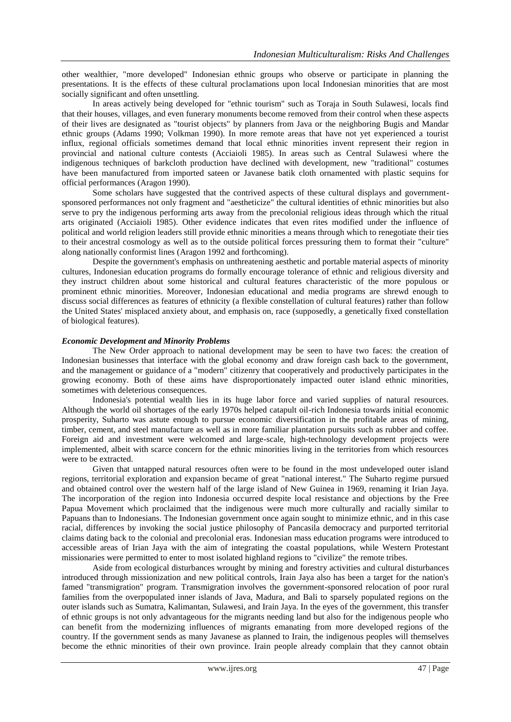other wealthier, "more developed" Indonesian ethnic groups who observe or participate in planning the presentations. It is the effects of these cultural proclamations upon local Indonesian minorities that are most socially significant and often unsettling.

In areas actively being developed for "ethnic tourism" such as Toraja in South Sulawesi, locals find that their houses, villages, and even funerary monuments become removed from their control when these aspects of their lives are designated as "tourist objects" by planners from Java or the neighboring Bugis and Mandar ethnic groups (Adams 1990; Volkman 1990). In more remote areas that have not yet experienced a tourist influx, regional officials sometimes demand that local ethnic minorities invent represent their region in provincial and national culture contests (Acciaioli 1985). In areas such as Central Sulawesi where the indigenous techniques of barkcloth production have declined with development, new "traditional" costumes have been manufactured from imported sateen or Javanese batik cloth ornamented with plastic sequins for official performances (Aragon 1990).

Some scholars have suggested that the contrived aspects of these cultural displays and governmentsponsored performances not only fragment and "aestheticize" the cultural identities of ethnic minorities but also serve to pry the indigenous performing arts away from the precolonial religious ideas through which the ritual arts originated (Acciaioli 1985). Other evidence indicates that even rites modified under the influence of political and world religion leaders still provide ethnic minorities a means through which to renegotiate their ties to their ancestral cosmology as well as to the outside political forces pressuring them to format their "culture" along nationally conformist lines (Aragon 1992 and forthcoming).

Despite the government's emphasis on unthreatening aesthetic and portable material aspects of minority cultures, Indonesian education programs do formally encourage tolerance of ethnic and religious diversity and they instruct children about some historical and cultural features characteristic of the more populous or prominent ethnic minorities. Moreover, Indonesian educational and media programs are shrewd enough to discuss social differences as features of ethnicity (a flexible constellation of cultural features) rather than follow the United States' misplaced anxiety about, and emphasis on, race (supposedly, a genetically fixed constellation of biological features).

### *Economic Development and Minority Problems*

The New Order approach to national development may be seen to have two faces: the creation of Indonesian businesses that interface with the global economy and draw foreign cash back to the government, and the management or guidance of a "modern" citizenry that cooperatively and productively participates in the growing economy. Both of these aims have disproportionately impacted outer island ethnic minorities, sometimes with deleterious consequences.

Indonesia's potential wealth lies in its huge labor force and varied supplies of natural resources. Although the world oil shortages of the early 1970s helped catapult oil-rich Indonesia towards initial economic prosperity, Suharto was astute enough to pursue economic diversification in the profitable areas of mining, timber, cement, and steel manufacture as well as in more familiar plantation pursuits such as rubber and coffee. Foreign aid and investment were welcomed and large-scale, high-technology development projects were implemented, albeit with scarce concern for the ethnic minorities living in the territories from which resources were to be extracted.

Given that untapped natural resources often were to be found in the most undeveloped outer island regions, territorial exploration and expansion became of great "national interest." The Suharto regime pursued and obtained control over the western half of the large island of New Guinea in 1969, renaming it Irian Jaya. The incorporation of the region into Indonesia occurred despite local resistance and objections by the Free Papua Movement which proclaimed that the indigenous were much more culturally and racially similar to Papuans than to Indonesians. The Indonesian government once again sought to minimize ethnic, and in this case racial, differences by invoking the social justice philosophy of Pancasila democracy and purported territorial claims dating back to the colonial and precolonial eras. Indonesian mass education programs were introduced to accessible areas of Irian Jaya with the aim of integrating the coastal populations, while Western Protestant missionaries were permitted to enter to most isolated highland regions to "civilize" the remote tribes.

Aside from ecological disturbances wrought by mining and forestry activities and cultural disturbances introduced through missionization and new political controls, Irain Jaya also has been a target for the nation's famed "transmigration" program. Transmigration involves the government-sponsored relocation of poor rural families from the overpopulated inner islands of Java, Madura, and Bali to sparsely populated regions on the outer islands such as Sumatra, Kalimantan, Sulawesi, and Irain Jaya. In the eyes of the government, this transfer of ethnic groups is not only advantageous for the migrants needing land but also for the indigenous people who can benefit from the modernizing influences of migrants emanating from more developed regions of the country. If the government sends as many Javanese as planned to Irain, the indigenous peoples will themselves become the ethnic minorities of their own province. Irain people already complain that they cannot obtain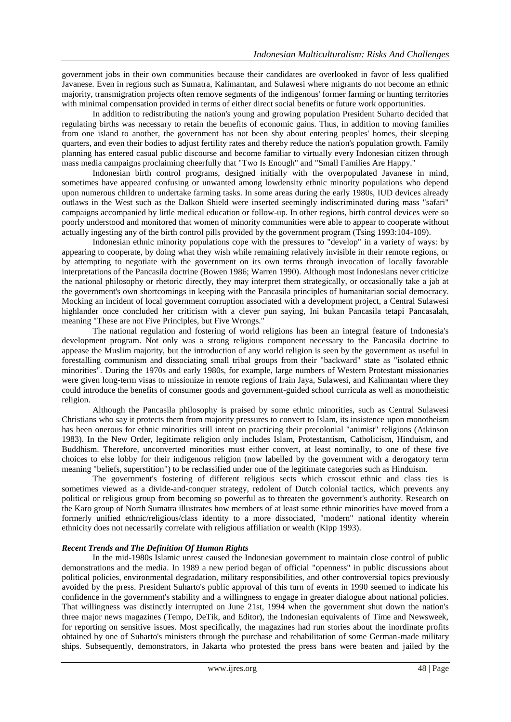government jobs in their own communities because their candidates are overlooked in favor of less qualified Javanese. Even in regions such as Sumatra, Kalimantan, and Sulawesi where migrants do not become an ethnic majority, transmigration projects often remove segments of the indigenous' former farming or hunting territories with minimal compensation provided in terms of either direct social benefits or future work opportunities.

In addition to redistributing the nation's young and growing population President Suharto decided that regulating births was necessary to retain the benefits of economic gains. Thus, in addition to moving families from one island to another, the government has not been shy about entering peoples' homes, their sleeping quarters, and even their bodies to adjust fertility rates and thereby reduce the nation's population growth. Family planning has entered casual public discourse and become familiar to virtually every Indonesian citizen through mass media campaigns proclaiming cheerfully that "Two Is Enough" and "Small Families Are Happy."

Indonesian birth control programs, designed initially with the overpopulated Javanese in mind, sometimes have appeared confusing or unwanted among lowdensity ethnic minority populations who depend upon numerous children to undertake farming tasks. In some areas during the early 1980s, IUD devices already outlaws in the West such as the Dalkon Shield were inserted seemingly indiscriminated during mass "safari" campaigns accompanied by little medical education or follow-up. In other regions, birth control devices were so poorly understood and monitored that women of minority communities were able to appear to cooperate without actually ingesting any of the birth control pills provided by the government program (Tsing 1993:104-109).

Indonesian ethnic minority populations cope with the pressures to "develop" in a variety of ways: by appearing to cooperate, by doing what they wish while remaining relatively invisible in their remote regions, or by attempting to negotiate with the government on its own terms through invocation of locally favorable interpretations of the Pancasila doctrine (Bowen 1986; Warren 1990). Although most Indonesians never criticize the national philosophy or rhetoric directly, they may interpret them strategically, or occasionally take a jab at the government's own shortcomings in keeping with the Pancasila principles of humanitarian social democracy. Mocking an incident of local government corruption associated with a development project, a Central Sulawesi highlander once concluded her criticism with a clever pun saying, Ini bukan Pancasila tetapi Pancasalah, meaning "These are not Five Principles, but Five Wrongs."

The national regulation and fostering of world religions has been an integral feature of Indonesia's development program. Not only was a strong religious component necessary to the Pancasila doctrine to appease the Muslim majority, but the introduction of any world religion is seen by the government as useful in forestalling communism and dissociating small tribal groups from their "backward" state as "isolated ethnic minorities". During the 1970s and early 1980s, for example, large numbers of Western Protestant missionaries were given long-term visas to missionize in remote regions of Irain Jaya, Sulawesi, and Kalimantan where they could introduce the benefits of consumer goods and government-guided school curricula as well as monotheistic religion.

Although the Pancasila philosophy is praised by some ethnic minorities, such as Central Sulawesi Christians who say it protects them from majority pressures to convert to Islam, its insistence upon monotheism has been onerous for ethnic minorities still intent on practicing their precolonial "animist" religions (Atkinson 1983). In the New Order, legitimate religion only includes Islam, Protestantism, Catholicism, Hinduism, and Buddhism. Therefore, unconverted minorities must either convert, at least nominally, to one of these five choices to else lobby for their indigenous religion (now labelled by the government with a derogatory term meaning "beliefs, superstition") to be reclassified under one of the legitimate categories such as Hinduism.

The government's fostering of different religious sects which crosscut ethnic and class ties is sometimes viewed as a divide-and-conquer strategy, redolent of Dutch colonial tactics, which prevents any political or religious group from becoming so powerful as to threaten the government's authority. Research on the Karo group of North Sumatra illustrates how members of at least some ethnic minorities have moved from a formerly unified ethnic/religious/class identity to a more dissociated, "modern" national identity wherein ethnicity does not necessarily correlate with religious affiliation or wealth (Kipp 1993).

## *Recent Trends and The Definition Of Human Rights*

In the mid-1980s Islamic unrest caused the Indonesian government to maintain close control of public demonstrations and the media. In 1989 a new period began of official "openness" in public discussions about political policies, environmental degradation, military responsibilities, and other controversial topics previously avoided by the press. President Suharto's public approval of this turn of events in 1990 seemed to indicate his confidence in the government's stability and a willingness to engage in greater dialogue about national policies. That willingness was distinctly interrupted on June 21st, 1994 when the government shut down the nation's three major news magazines (Tempo, DeTik, and Editor), the Indonesian equivalents of Time and Newsweek, for reporting on sensitive issues. Most specifically, the magazines had run stories about the inordinate profits obtained by one of Suharto's ministers through the purchase and rehabilitation of some German-made military ships. Subsequently, demonstrators, in Jakarta who protested the press bans were beaten and jailed by the